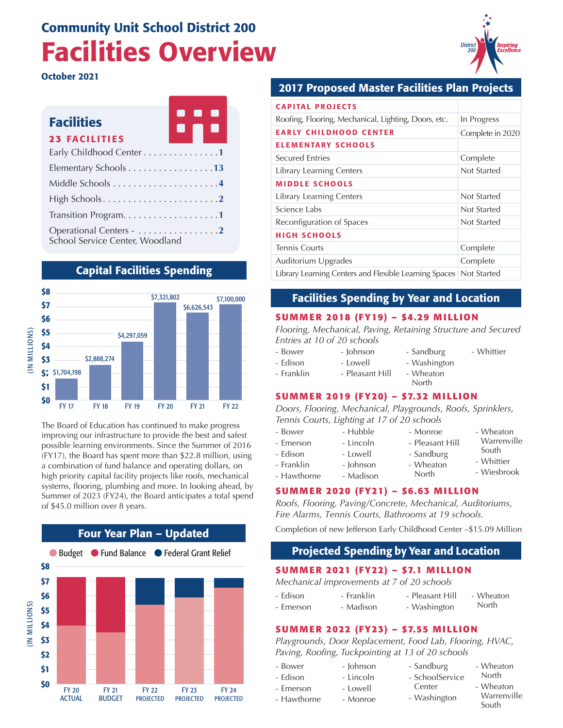# Community Unit School District 200 Facilities Overview

October 2021

| <b>Facilities</b>                                          | H |
|------------------------------------------------------------|---|
| <b>23 FACILITIES</b>                                       |   |
| Early Childhood Center 1                                   |   |
| Elementary Schools 13                                      |   |
|                                                            |   |
|                                                            |   |
|                                                            |   |
| Operational Centers - 2<br>School Service Center, Woodland |   |

#### Capital Facilities Spending



The Board of Education has continued to make progress improving our infrastructure to provide the best and safest possible learning environments. Since the Summer of 2016 (FY17), the Board has spent more than \$22.8 million, using a combination of fund balance and operating dollars, on high priority capital facility projects like roofs, mechanical systems, flooring, plumbing and more. In looking ahead, by Summer of 2023 (FY24), the Board anticipates a total spend of \$45.0 million over 8 years.



### 2017 Proposed Master Facilities Plan Projects

| <b>CAPITAL PROJECTS</b>                                             |                  |
|---------------------------------------------------------------------|------------------|
| Roofing, Flooring, Mechanical, Lighting, Doors, etc.                | In Progress      |
| <b>EARLY CHILDHOOD CENTER</b>                                       | Complete in 2020 |
| <b>ELEMENTARY SCHOOLS</b>                                           |                  |
| <b>Secured Entries</b>                                              | Complete         |
| Library Learning Centers                                            | Not Started      |
| <b>MIDDLE SCHOOLS</b>                                               |                  |
| <b>Library Learning Centers</b>                                     | Not Started      |
| Science Labs                                                        | Not Started      |
| Reconfiguration of Spaces                                           | Not Started      |
| <b>HIGH SCHOOLS</b>                                                 |                  |
| <b>Tennis Courts</b>                                                | Complete         |
| Auditorium Upgrades                                                 | Complete         |
| Library Learning Centers and Flexible Learning Spaces   Not Started |                  |

#### Facilities Spending by Year and Location

#### **SUMMER 2018 (FY19) – \$4.29 MILLION**

*Flooring, Mechanical, Paving, Retaining Structure and Secured Entries at 10 of 20 schools*

- Bower - Johnson
	- Lowell - Sandburg - Washington
	- Pleasant Hill
		- Wheaton North

- Monroe - Pleasant Hill - Sandburg - Wheaton

#### **SUMMER 2019 (FY20) – \$7.32 MILLION**

*Doors, Flooring, Mechanical, Playgrounds, Roofs, Sprinklers, Tennis Courts, Lighting at 17 of 20 schools*

- Bower

- Edison - Franklin

- Emerson
- Edison - Lowell
- Franklin - Johnson
	-
- Hawthorne
	-
- 
- Madison

- Hubble - Lincoln

North

#### **SUMMER 2020 (FY21) – \$6.63 MILLION**

*Roofs, Flooring, Paving/Concrete, Mechanical, Auditoriums, Fire Alarms, Tennis Courts, Bathrooms at 19 schools.*

Completion of new Jefferson Early Childhood Center –\$15.09 Million

### Projected Spending by Year and Location

#### **SUMMER 2021 (FY22) – \$7.1 MILLION**

*Mechanical improvements at 7 of 20 schools*

- Lincoln

- Edison - Emerson - Franklin - Pleasant Hill - Wheaton North
	- Madison - Washington

#### **SUMMER 2022 (FY23) – \$7.55 MILLION**

*Playgrounds, Door Replacement, Food Lab, Flooring, HVAC, Paving, Roofing, Tuckpointing at 13 of 20 schools*

- Bower - Johnson
- Edison
- Emerson
- Hawthorne - Lowell - Monroe
- Sandburg
	- SchoolService Center

- Washington

- North
	- Wheaton **Warrenville** South

- Wheaton



- Whittier

- Wheaton Warrenville South - Whittier - Wiesbrook